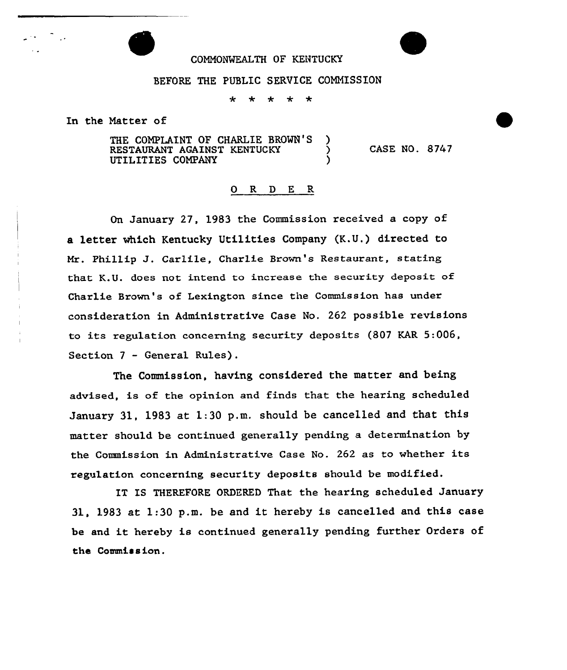## COHNONKALTH OF KENTUCKY

## BEFORE THE PUBLIC SERVICE COMNISSION

 $\leftarrow$  $\leftarrow$ ÷  $\ddot{\phantom{1}}$ 

In the Natter of

THE COMPLAINT OF CHARLIE BROWN'S )<br>RESTAURANT AGAINST KENTUCKY RESTAURANT AGAINST KENTUCKY UTILITIES COMPANY

CASE NO. 8747

## 0 R <sup>D</sup> E R

On January 27, 1983 the Commission received a copy of a letter which Kentucky Utilities Company (K.U.) directed to Mr. Phillip J. Carlile, Charlie Brown's Restaurant, stating that K.U. does not intend to increase the security deposit of Charlie Brown's of Lexington since the Commission has under consideration in Administrative Case No. 262 possible revisions to its regulation concerning security deposits (807 KAR 5:006, Section 7 — General Rules).

The Commission, having considered the matter and being advised, is of the opinion and finds that the hearing scheduled January 31, 1983 at 1:30 p.m. should be cancelled and that this matter should be continued generally pending a determination by the Commission in Administrative Case No. <sup>262</sup> as to whether its regulation concerning security deposits should be modified.

IT IS THEREFORE ORDERED That the hearing scheduled January 31, <sup>1983</sup> at 1:30 p.m. be and it hereby is cancelled and this case be and it hereby is continued generally pending further Orders of the Commission.